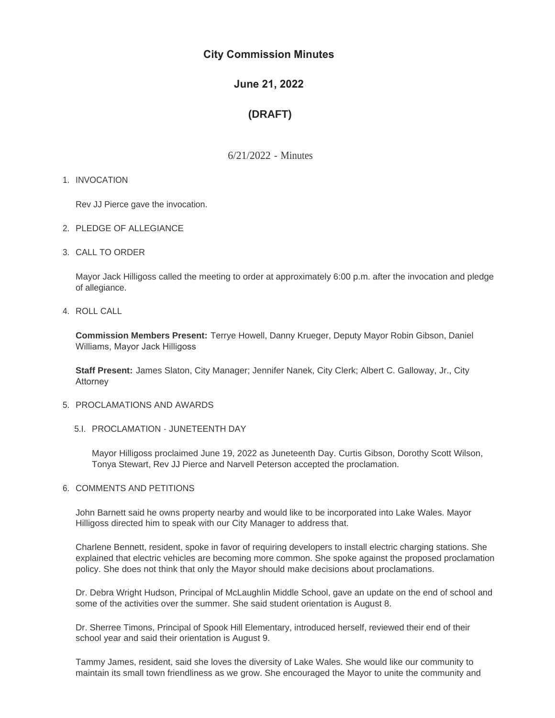# **City Commission Minutes**

# **June 21, 2022**

# **(DRAFT)**

6/21/2022 - Minutes

# 1. INVOCATION

Rev JJ Pierce gave the invocation.

- 2. PLEDGE OF ALLEGIANCE
- CALL TO ORDER 3.

Mayor Jack Hilligoss called the meeting to order at approximately 6:00 p.m. after the invocation and pledge of allegiance.

4. ROLL CALL

**Commission Members Present:** Terrye Howell, Danny Krueger, Deputy Mayor Robin Gibson, Daniel Williams, Mayor Jack Hilligoss

**Staff Present:** James Slaton, City Manager; Jennifer Nanek, City Clerk; Albert C. Galloway, Jr., City **Attorney** 

- 5. PROCLAMATIONS AND AWARDS
	- 5.I. PROCLAMATION JUNETEENTH DAY

Mayor Hilligoss proclaimed June 19, 2022 as Juneteenth Day. Curtis Gibson, Dorothy Scott Wilson, Tonya Stewart, Rev JJ Pierce and Narvell Peterson accepted the proclamation.

6. COMMENTS AND PETITIONS

John Barnett said he owns property nearby and would like to be incorporated into Lake Wales. Mayor Hilligoss directed him to speak with our City Manager to address that.

Charlene Bennett, resident, spoke in favor of requiring developers to install electric charging stations. She explained that electric vehicles are becoming more common. She spoke against the proposed proclamation policy. She does not think that only the Mayor should make decisions about proclamations.

Dr. Debra Wright Hudson, Principal of McLaughlin Middle School, gave an update on the end of school and some of the activities over the summer. She said student orientation is August 8.

Dr. Sherree Timons, Principal of Spook Hill Elementary, introduced herself, reviewed their end of their school year and said their orientation is August 9.

Tammy James, resident, said she loves the diversity of Lake Wales. She would like our community to maintain its small town friendliness as we grow. She encouraged the Mayor to unite the community and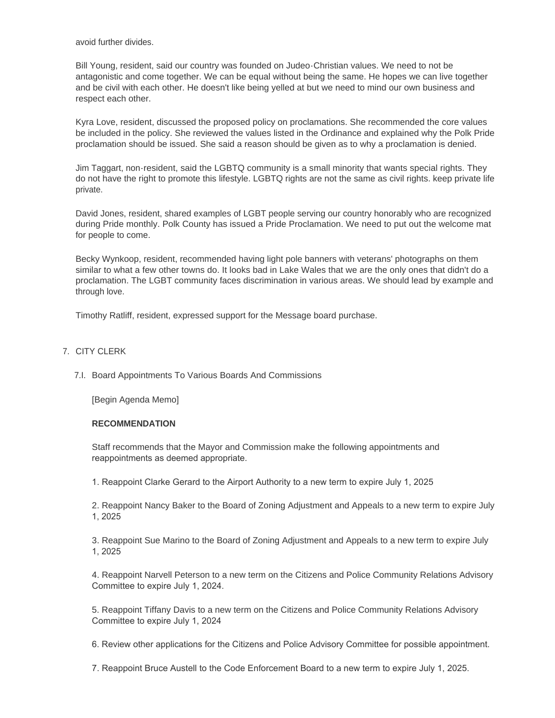avoid further divides.

Bill Young, resident, said our country was founded on Judeo-Christian values. We need to not be antagonistic and come together. We can be equal without being the same. He hopes we can live together and be civil with each other. He doesn't like being yelled at but we need to mind our own business and respect each other.

Kyra Love, resident, discussed the proposed policy on proclamations. She recommended the core values be included in the policy. She reviewed the values listed in the Ordinance and explained why the Polk Pride proclamation should be issued. She said a reason should be given as to why a proclamation is denied.

Jim Taggart, non-resident, said the LGBTQ community is a small minority that wants special rights. They do not have the right to promote this lifestyle. LGBTQ rights are not the same as civil rights. keep private life private.

David Jones, resident, shared examples of LGBT people serving our country honorably who are recognized during Pride monthly. Polk County has issued a Pride Proclamation. We need to put out the welcome mat for people to come.

Becky Wynkoop, resident, recommended having light pole banners with veterans' photographs on them similar to what a few other towns do. It looks bad in Lake Wales that we are the only ones that didn't do a proclamation. The LGBT community faces discrimination in various areas. We should lead by example and through love.

Timothy Ratliff, resident, expressed support for the Message board purchase.

# 7. CITY CLERK

7.I. Board Appointments To Various Boards And Commissions

[Begin Agenda Memo]

#### **RECOMMENDATION**

Staff recommends that the Mayor and Commission make the following appointments and reappointments as deemed appropriate.

1. Reappoint Clarke Gerard to the Airport Authority to a new term to expire July 1, 2025

2. Reappoint Nancy Baker to the Board of Zoning Adjustment and Appeals to a new term to expire July 1, 2025

3. Reappoint Sue Marino to the Board of Zoning Adjustment and Appeals to a new term to expire July 1, 2025

4. Reappoint Narvell Peterson to a new term on the Citizens and Police Community Relations Advisory Committee to expire July 1, 2024.

5. Reappoint Tiffany Davis to a new term on the Citizens and Police Community Relations Advisory Committee to expire July 1, 2024

6. Review other applications for the Citizens and Police Advisory Committee for possible appointment.

7. Reappoint Bruce Austell to the Code Enforcement Board to a new term to expire July 1, 2025.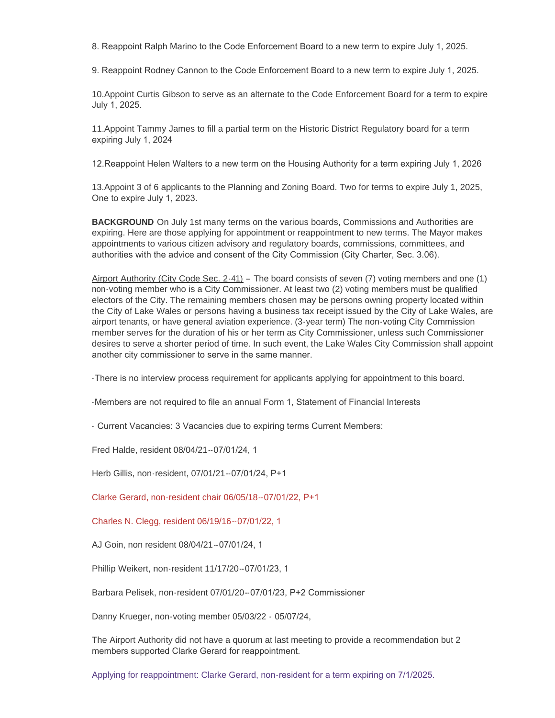8. Reappoint Ralph Marino to the Code Enforcement Board to a new term to expire July 1, 2025.

9. Reappoint Rodney Cannon to the Code Enforcement Board to a new term to expire July 1, 2025.

10.Appoint Curtis Gibson to serve as an alternate to the Code Enforcement Board for a term to expire July 1, 2025.

11.Appoint Tammy James to fill a partial term on the Historic District Regulatory board for a term expiring July 1, 2024

12.Reappoint Helen Walters to a new term on the Housing Authority for a term expiring July 1, 2026

13.Appoint 3 of 6 applicants to the Planning and Zoning Board. Two for terms to expire July 1, 2025, One to expire July 1, 2023.

**BACKGROUND** On July 1st many terms on the various boards, Commissions and Authorities are expiring. Here are those applying for appointment or reappointment to new terms. The Mayor makes appointments to various citizen advisory and regulatory boards, commissions, committees, and authorities with the advice and consent of the City Commission (City Charter, Sec. 3.06).

Airport Authority (City Code Sec. 2-41) – The board consists of seven (7) voting members and one (1) non-voting member who is a City Commissioner. At least two (2) voting members must be qualified electors of the City. The remaining members chosen may be persons owning property located within the City of Lake Wales or persons having a business tax receipt issued by the City of Lake Wales, are airport tenants, or have general aviation experience. (3-year term) The non-voting City Commission member serves for the duration of his or her term as City Commissioner, unless such Commissioner desires to serve a shorter period of time. In such event, the Lake Wales City Commission shall appoint another city commissioner to serve in the same manner.

-There is no interview process requirement for applicants applying for appointment to this board.

-Members are not required to file an annual Form 1, Statement of Financial Interests

- Current Vacancies: 3 Vacancies due to expiring terms Current Members:

Fred Halde, resident 08/04/21--07/01/24, 1

Herb Gillis, non-resident, 07/01/21--07/01/24, P+1

Clarke Gerard, non-resident chair 06/05/18--07/01/22, P+1

Charles N. Clegg, resident 06/19/16--07/01/22, 1

AJ Goin, non resident 08/04/21--07/01/24, 1

Phillip Weikert, non-resident 11/17/20--07/01/23, 1

Barbara Pelisek, non-resident 07/01/20--07/01/23, P+2 Commissioner

Danny Krueger, non-voting member 05/03/22 - 05/07/24,

The Airport Authority did not have a quorum at last meeting to provide a recommendation but 2 members supported Clarke Gerard for reappointment.

Applying for reappointment: Clarke Gerard, non-resident for a term expiring on 7/1/2025.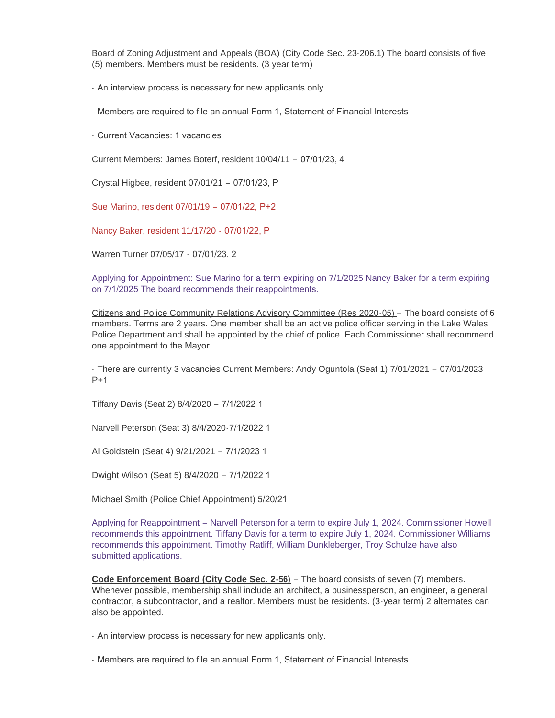Board of Zoning Adjustment and Appeals (BOA) (City Code Sec. 23-206.1) The board consists of five (5) members. Members must be residents. (3 year term)

- An interview process is necessary for new applicants only.

- Members are required to file an annual Form 1, Statement of Financial Interests

- Current Vacancies: 1 vacancies

Current Members: James Boterf, resident 10/04/11 – 07/01/23, 4

Crystal Higbee, resident 07/01/21 – 07/01/23, P

Sue Marino, resident 07/01/19 – 07/01/22, P+2

Nancy Baker, resident 11/17/20 - 07/01/22, P

Warren Turner 07/05/17 - 07/01/23, 2

Applying for Appointment: Sue Marino for a term expiring on 7/1/2025 Nancy Baker for a term expiring on 7/1/2025 The board recommends their reappointments.

Citizens and Police Community Relations Advisory Committee (Res 2020-05) – The board consists of 6 members. Terms are 2 years. One member shall be an active police officer serving in the Lake Wales Police Department and shall be appointed by the chief of police. Each Commissioner shall recommend one appointment to the Mayor.

- There are currently 3 vacancies Current Members: Andy Oguntola (Seat 1) 7/01/2021 – 07/01/2023 P+1

Tiffany Davis (Seat 2) 8/4/2020 – 7/1/2022 1

Narvell Peterson (Seat 3) 8/4/2020-7/1/2022 1

Al Goldstein (Seat 4) 9/21/2021 – 7/1/2023 1

Dwight Wilson (Seat 5) 8/4/2020 – 7/1/2022 1

Michael Smith (Police Chief Appointment) 5/20/21

Applying for Reappointment – Narvell Peterson for a term to expire July 1, 2024. Commissioner Howell recommends this appointment. Tiffany Davis for a term to expire July 1, 2024. Commissioner Williams recommends this appointment. Timothy Ratliff, William Dunkleberger, Troy Schulze have also submitted applications.

**Code Enforcement Board (City Code Sec. 2-56)** – The board consists of seven (7) members. Whenever possible, membership shall include an architect, a businessperson, an engineer, a general contractor, a subcontractor, and a realtor. Members must be residents. (3-year term) 2 alternates can also be appointed.

- An interview process is necessary for new applicants only.

- Members are required to file an annual Form 1, Statement of Financial Interests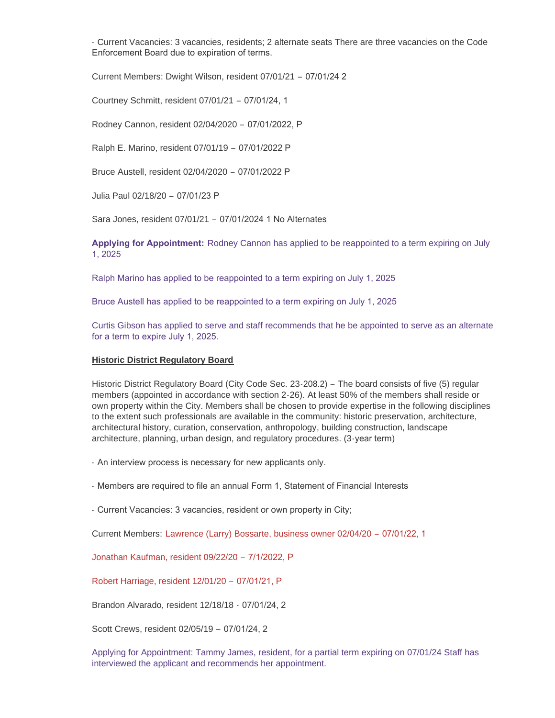- Current Vacancies: 3 vacancies, residents; 2 alternate seats There are three vacancies on the Code Enforcement Board due to expiration of terms.

Current Members: Dwight Wilson, resident 07/01/21 – 07/01/24 2

Courtney Schmitt, resident 07/01/21 – 07/01/24, 1

Rodney Cannon, resident 02/04/2020 – 07/01/2022, P

Ralph E. Marino, resident 07/01/19 – 07/01/2022 P

Bruce Austell, resident 02/04/2020 – 07/01/2022 P

Julia Paul 02/18/20 – 07/01/23 P

Sara Jones, resident 07/01/21 – 07/01/2024 1 No Alternates

**Applying for Appointment:** Rodney Cannon has applied to be reappointed to a term expiring on July 1, 2025

Ralph Marino has applied to be reappointed to a term expiring on July 1, 2025

Bruce Austell has applied to be reappointed to a term expiring on July 1, 2025

Curtis Gibson has applied to serve and staff recommends that he be appointed to serve as an alternate for a term to expire July 1, 2025.

#### **Historic District Regulatory Board**

Historic District Regulatory Board (City Code Sec. 23-208.2) – The board consists of five (5) regular members (appointed in accordance with section 2-26). At least 50% of the members shall reside or own property within the City. Members shall be chosen to provide expertise in the following disciplines to the extent such professionals are available in the community: historic preservation, architecture, architectural history, curation, conservation, anthropology, building construction, landscape architecture, planning, urban design, and regulatory procedures. (3-year term)

- An interview process is necessary for new applicants only.

- Members are required to file an annual Form 1, Statement of Financial Interests

- Current Vacancies: 3 vacancies, resident or own property in City;

Current Members: Lawrence (Larry) Bossarte, business owner 02/04/20 – 07/01/22, 1

Jonathan Kaufman, resident 09/22/20 – 7/1/2022, P

Robert Harriage, resident 12/01/20 – 07/01/21, P

Brandon Alvarado, resident 12/18/18 - 07/01/24, 2

Scott Crews, resident 02/05/19 – 07/01/24, 2

Applying for Appointment: Tammy James, resident, for a partial term expiring on 07/01/24 Staff has interviewed the applicant and recommends her appointment.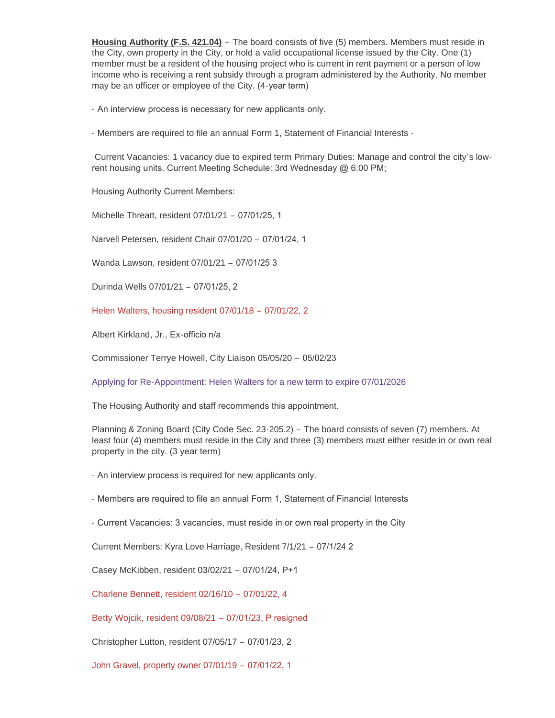**Housing Authority (F.S. 421.04)** – The board consists of five (5) members. Members must reside in the City, own property in the City, or hold a valid occupational license issued by the City. One (1) member must be a resident of the housing project who is current in rent payment or a person of low income who is receiving a rent subsidy through a program administered by the Authority. No member may be an officer or employee of the City. (4-year term)

- An interview process is necessary for new applicants only.

- Members are required to file an annual Form 1, Statement of Financial Interests -

Current Vacancies: 1 vacancy due to expired term Primary Duties: Manage and control the city's lowrent housing units. Current Meeting Schedule: 3rd Wednesday @ 6:00 PM;

Housing Authority Current Members:

Michelle Threatt, resident 07/01/21 – 07/01/25, 1

Narvell Petersen, resident Chair 07/01/20 – 07/01/24, 1

Wanda Lawson, resident 07/01/21 – 07/01/25 3

Durinda Wells 07/01/21 – 07/01/25, 2

Helen Walters, housing resident 07/01/18 – 07/01/22, 2

Albert Kirkland, Jr., Ex-officio n/a

Commissioner Terrye Howell, City Liaison 05/05/20 – 05/02/23

Applying for Re-Appointment: Helen Walters for a new term to expire 07/01/2026

The Housing Authority and staff recommends this appointment.

Planning & Zoning Board (City Code Sec. 23-205.2) – The board consists of seven (7) members. At least four (4) members must reside in the City and three (3) members must either reside in or own real property in the city. (3 year term)

- An interview process is required for new applicants only.

- Members are required to file an annual Form 1, Statement of Financial Interests

- Current Vacancies: 3 vacancies, must reside in or own real property in the City

Current Members: Kyra Love Harriage, Resident 7/1/21 – 07/1/24 2

Casey McKibben, resident 03/02/21 – 07/01/24, P+1

Charlene Bennett, resident 02/16/10 – 07/01/22, 4

Betty Wojcik, resident 09/08/21 – 07/01/23, P resigned

Christopher Lutton, resident 07/05/17 – 07/01/23, 2

John Gravel, property owner 07/01/19 – 07/01/22, 1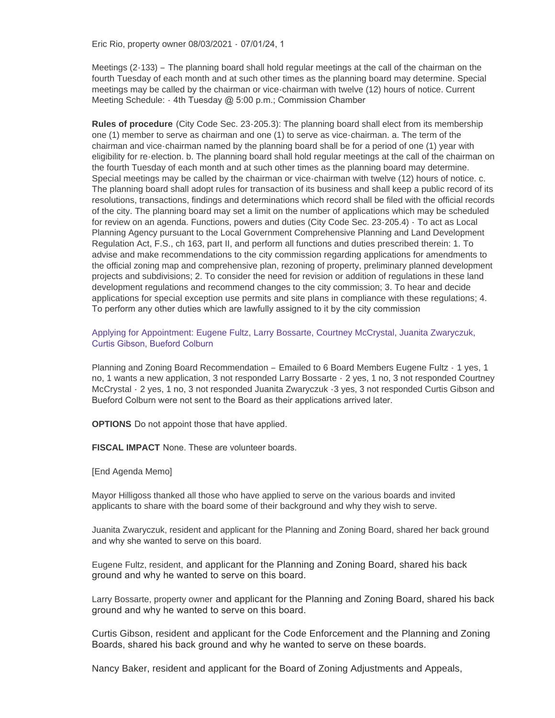Eric Rio, property owner 08/03/2021 - 07/01/24, 1

Meetings (2-133) – The planning board shall hold regular meetings at the call of the chairman on the fourth Tuesday of each month and at such other times as the planning board may determine. Special meetings may be called by the chairman or vice-chairman with twelve (12) hours of notice. Current Meeting Schedule: - 4th Tuesday @ 5:00 p.m.; Commission Chamber

**Rules of procedure** (City Code Sec. 23-205.3): The planning board shall elect from its membership one (1) member to serve as chairman and one (1) to serve as vice-chairman. a. The term of the chairman and vice-chairman named by the planning board shall be for a period of one (1) year with eligibility for re-election. b. The planning board shall hold regular meetings at the call of the chairman on the fourth Tuesday of each month and at such other times as the planning board may determine. Special meetings may be called by the chairman or vice-chairman with twelve (12) hours of notice. c. The planning board shall adopt rules for transaction of its business and shall keep a public record of its resolutions, transactions, findings and determinations which record shall be filed with the official records of the city. The planning board may set a limit on the number of applications which may be scheduled for review on an agenda. Functions, powers and duties (City Code Sec. 23-205.4) - To act as Local Planning Agency pursuant to the Local Government Comprehensive Planning and Land Development Regulation Act, F.S., ch 163, part II, and perform all functions and duties prescribed therein: 1. To advise and make recommendations to the city commission regarding applications for amendments to the official zoning map and comprehensive plan, rezoning of property, preliminary planned development projects and subdivisions; 2. To consider the need for revision or addition of regulations in these land development regulations and recommend changes to the city commission; 3. To hear and decide applications for special exception use permits and site plans in compliance with these regulations; 4. To perform any other duties which are lawfully assigned to it by the city commission

Applying for Appointment: Eugene Fultz, Larry Bossarte, Courtney McCrystal, Juanita Zwaryczuk, Curtis Gibson, Bueford Colburn

Planning and Zoning Board Recommendation – Emailed to 6 Board Members Eugene Fultz - 1 yes, 1 no, 1 wants a new application, 3 not responded Larry Bossarte - 2 yes, 1 no, 3 not responded Courtney McCrystal - 2 yes, 1 no, 3 not responded Juanita Zwaryczuk -3 yes, 3 not responded Curtis Gibson and Bueford Colburn were not sent to the Board as their applications arrived later.

**OPTIONS** Do not appoint those that have applied.

**FISCAL IMPACT** None. These are volunteer boards.

[End Agenda Memo]

Mayor Hilligoss thanked all those who have applied to serve on the various boards and invited applicants to share with the board some of their background and why they wish to serve.

Juanita Zwaryczuk, resident and applicant for the Planning and Zoning Board, shared her back ground and why she wanted to serve on this board.

Eugene Fultz, resident, and applicant for the Planning and Zoning Board, shared his back ground and why he wanted to serve on this board.

Larry Bossarte, property owner and applicant for the Planning and Zoning Board, shared his back ground and why he wanted to serve on this board.

Curtis Gibson, resident and applicant for the Code Enforcement and the Planning and Zoning Boards, shared his back ground and why he wanted to serve on these boards.

Nancy Baker, resident and applicant for the Board of Zoning Adjustments and Appeals,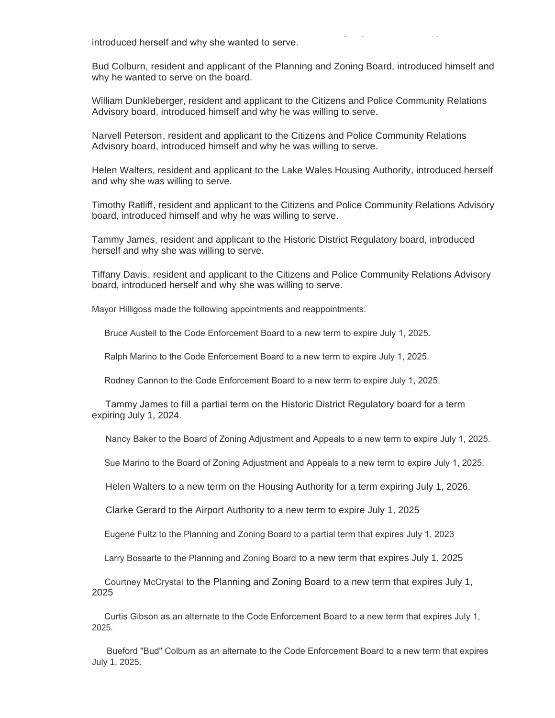introduced herself and why she wanted to serve.

Bud Colburn, resident and applicant of the Planning and Zoning Board, introduced himself and why he wanted to serve on the board.

William Dunkleberger, resident and applicant to the Citizens and Police Community Relations Advisory board, introduced himself and why he was willing to serve.

Narvell Peterson, resident and applicant to the Citizens and Police Community Relations Advisory board, introduced himself and why he was willing to serve.

Nancy Baker, resident and applicant for the Board of Zoning Adjustments and Appeals,

Helen Walters, resident and applicant to the Lake Wales Housing Authority, introduced herself and why she was willing to serve.

Timothy Ratliff, resident and applicant to the Citizens and Police Community Relations Advisory board, introduced himself and why he was willing to serve.

Tammy James, resident and applicant to the Historic District Regulatory board, introduced herself and why she was willing to serve.

Tiffany Davis, resident and applicant to the Citizens and Police Community Relations Advisory board, introduced herself and why she was willing to serve.

Mayor Hilligoss made the following appointments and reappointments:

Bruce Austell to the Code Enforcement Board to a new term to expire July 1, 2025.

Ralph Marino to the Code Enforcement Board to a new term to expire July 1, 2025.

Rodney Cannon to the Code Enforcement Board to a new term to expire July 1, 2025.

 Tammy James to fill a partial term on the Historic District Regulatory board for a term expiring July 1, 2024.

Nancy Baker to the Board of Zoning Adjustment and Appeals to a new term to expire July 1, 2025.

Sue Marino to the Board of Zoning Adjustment and Appeals to a new term to expire July 1, 2025.

Helen Walters to a new term on the Housing Authority for a term expiring July 1, 2026.

Clarke Gerard to the Airport Authority to a new term to expire July 1, 2025

Eugene Fultz to the Planning and Zoning Board to a partial term that expires July 1, 2023

Larry Bossarte to the Planning and Zoning Board to a new term that expires July 1, 2025

 Courtney McCrystal to the Planning and Zoning Board to a new term that expires July 1, 2025

 Curtis Gibson as an alternate to the Code Enforcement Board to a new term that expires July 1, 2025.

 Bueford "Bud" Colburn as an alternate to the Code Enforcement Board to a new term that expires July 1, 2025.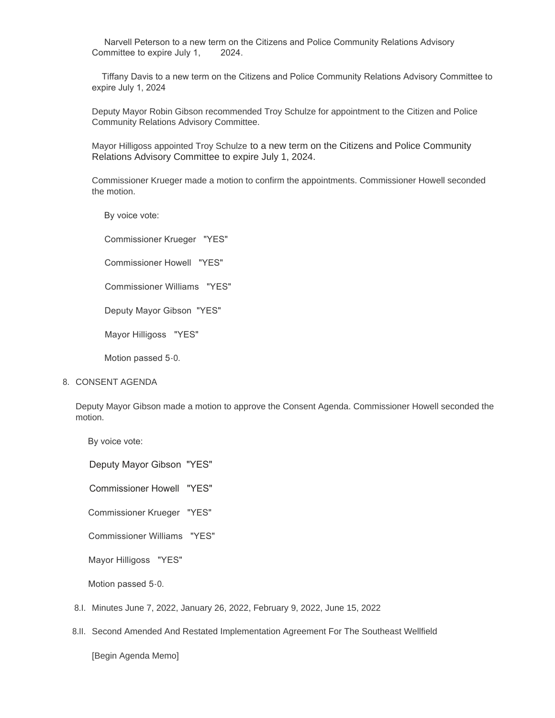Narvell Peterson to a new term on the Citizens and Police Community Relations Advisory Committee to expire July 1, 2024.

 Tiffany Davis to a new term on the Citizens and Police Community Relations Advisory Committee to expire July 1, 2024

Deputy Mayor Robin Gibson recommended Troy Schulze for appointment to the Citizen and Police Community Relations Advisory Committee.

Mayor Hilligoss appointed Troy Schulze to a new term on the Citizens and Police Community Relations Advisory Committee to expire July 1, 2024.

Commissioner Krueger made a motion to confirm the appointments. Commissioner Howell seconded the motion.

By voice vote:

 Commissioner Krueger "YES" Commissioner Howell "YES" Commissioner Williams "YES" Deputy Mayor Gibson "YES" Mayor Hilligoss "YES"

Motion passed 5-0.

#### 8. CONSENT AGENDA

Deputy Mayor Gibson made a motion to approve the Consent Agenda. Commissioner Howell seconded the motion.

By voice vote:

Deputy Mayor Gibson "YES"

Commissioner Howell "YES"

Commissioner Krueger "YES"

Commissioner Williams "YES"

Mayor Hilligoss "YES"

Motion passed 5-0.

- Minutes June 7, 2022, January 26, 2022, February 9, 2022, June 15, 2022 8.I.
- 8.II. Second Amended And Restated Implementation Agreement For The Southeast Wellfield

[Begin Agenda Memo]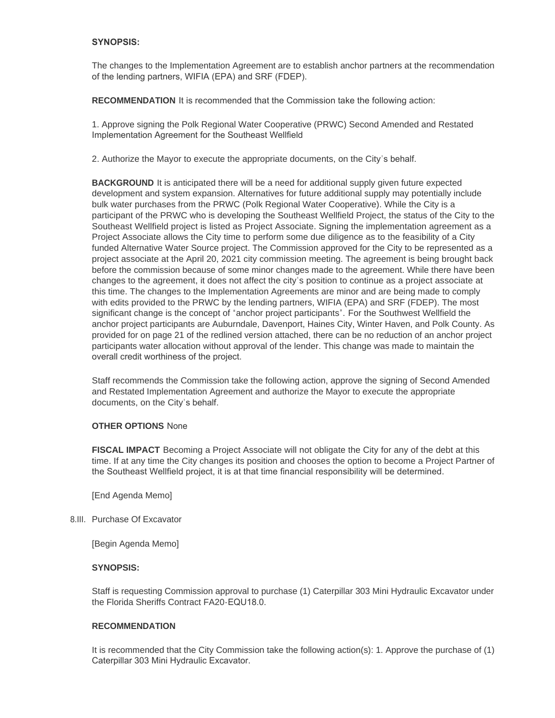# **SYNOPSIS:**

The changes to the Implementation Agreement are to establish anchor partners at the recommendation of the lending partners, WIFIA (EPA) and SRF (FDEP).

**RECOMMENDATION** It is recommended that the Commission take the following action:

1. Approve signing the Polk Regional Water Cooperative (PRWC) Second Amended and Restated Implementation Agreement for the Southeast Wellfield

2. Authorize the Mayor to execute the appropriate documents, on the City's behalf.

**BACKGROUND** It is anticipated there will be a need for additional supply given future expected development and system expansion. Alternatives for future additional supply may potentially include bulk water purchases from the PRWC (Polk Regional Water Cooperative). While the City is a participant of the PRWC who is developing the Southeast Wellfield Project, the status of the City to the Southeast Wellfield project is listed as Project Associate. Signing the implementation agreement as a Project Associate allows the City time to perform some due diligence as to the feasibility of a City funded Alternative Water Source project. The Commission approved for the City to be represented as a project associate at the April 20, 2021 city commission meeting. The agreement is being brought back before the commission because of some minor changes made to the agreement. While there have been changes to the agreement, it does not affect the city's position to continue as a project associate at this time. The changes to the Implementation Agreements are minor and are being made to comply with edits provided to the PRWC by the lending partners, WIFIA (EPA) and SRF (FDEP). The most significant change is the concept of "anchor project participants". For the Southwest Wellfield the anchor project participants are Auburndale, Davenport, Haines City, Winter Haven, and Polk County. As provided for on page 21 of the redlined version attached, there can be no reduction of an anchor project participants water allocation without approval of the lender. This change was made to maintain the overall credit worthiness of the project.

Staff recommends the Commission take the following action, approve the signing of Second Amended and Restated Implementation Agreement and authorize the Mayor to execute the appropriate documents, on the City's behalf.

## **OTHER OPTIONS** None

**FISCAL IMPACT** Becoming a Project Associate will not obligate the City for any of the debt at this time. If at any time the City changes its position and chooses the option to become a Project Partner of the Southeast Wellfield project, it is at that time financial responsibility will be determined.

[End Agenda Memo]

# 8.III. Purchase Of Excavator

[Begin Agenda Memo]

## **SYNOPSIS:**

Staff is requesting Commission approval to purchase (1) Caterpillar 303 Mini Hydraulic Excavator under the Florida Sheriffs Contract FA20-EQU18.0.

## **RECOMMENDATION**

It is recommended that the City Commission take the following action(s): 1. Approve the purchase of (1) Caterpillar 303 Mini Hydraulic Excavator.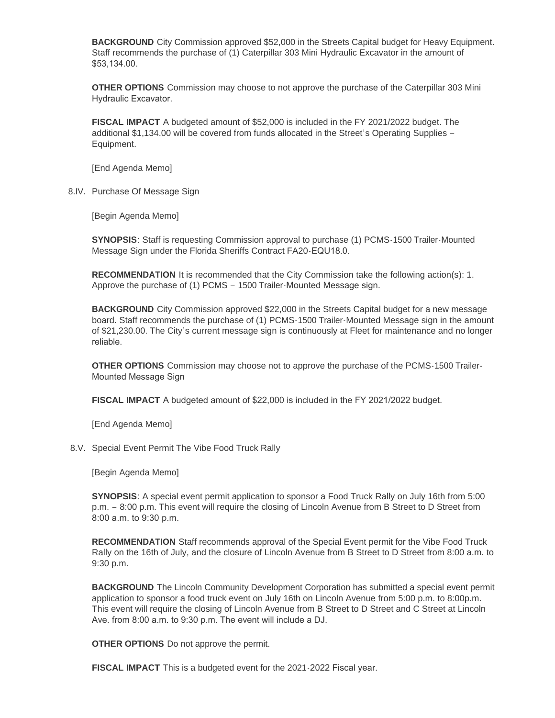**BACKGROUND** City Commission approved \$52,000 in the Streets Capital budget for Heavy Equipment. Staff recommends the purchase of (1) Caterpillar 303 Mini Hydraulic Excavator in the amount of \$53,134.00.

**OTHER OPTIONS** Commission may choose to not approve the purchase of the Caterpillar 303 Mini Hydraulic Excavator.

**FISCAL IMPACT** A budgeted amount of \$52,000 is included in the FY 2021/2022 budget. The additional \$1,134.00 will be covered from funds allocated in the Street's Operating Supplies – Equipment.

[End Agenda Memo]

8.IV. Purchase Of Message Sign

[Begin Agenda Memo]

**SYNOPSIS**: Staff is requesting Commission approval to purchase (1) PCMS-1500 Trailer-Mounted Message Sign under the Florida Sheriffs Contract FA20-EQU18.0.

**RECOMMENDATION** It is recommended that the City Commission take the following action(s): 1. Approve the purchase of (1) PCMS – 1500 Trailer-Mounted Message sign.

**BACKGROUND** City Commission approved \$22,000 in the Streets Capital budget for a new message board. Staff recommends the purchase of (1) PCMS-1500 Trailer-Mounted Message sign in the amount of \$21,230.00. The City's current message sign is continuously at Fleet for maintenance and no longer reliable.

**OTHER OPTIONS** Commission may choose not to approve the purchase of the PCMS-1500 Trailer-Mounted Message Sign

**FISCAL IMPACT** A budgeted amount of \$22,000 is included in the FY 2021/2022 budget.

[End Agenda Memo]

8.V. Special Event Permit The Vibe Food Truck Rally

[Begin Agenda Memo]

**SYNOPSIS**: A special event permit application to sponsor a Food Truck Rally on July 16th from 5:00 p.m. – 8:00 p.m. This event will require the closing of Lincoln Avenue from B Street to D Street from 8:00 a.m. to 9:30 p.m.

**RECOMMENDATION** Staff recommends approval of the Special Event permit for the Vibe Food Truck Rally on the 16th of July, and the closure of Lincoln Avenue from B Street to D Street from 8:00 a.m. to 9:30 p.m.

**BACKGROUND** The Lincoln Community Development Corporation has submitted a special event permit application to sponsor a food truck event on July 16th on Lincoln Avenue from 5:00 p.m. to 8:00p.m. This event will require the closing of Lincoln Avenue from B Street to D Street and C Street at Lincoln Ave. from 8:00 a.m. to 9:30 p.m. The event will include a DJ.

**OTHER OPTIONS** Do not approve the permit.

**FISCAL IMPACT** This is a budgeted event for the 2021-2022 Fiscal year.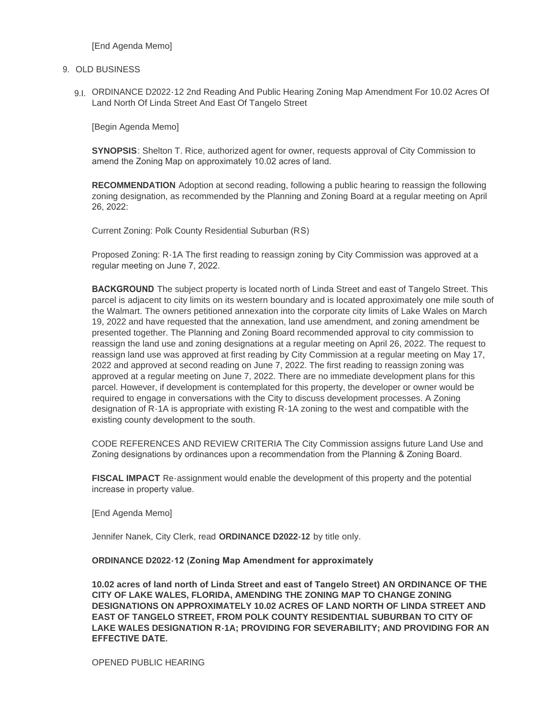[End Agenda Memo]

## 9. OLD BUSINESS

9.I. ORDINANCE D2022-12 2nd Reading And Public Hearing Zoning Map Amendment For 10.02 Acres Of Land North Of Linda Street And East Of Tangelo Street

[Begin Agenda Memo]

**SYNOPSIS**: Shelton T. Rice, authorized agent for owner, requests approval of City Commission to amend the Zoning Map on approximately 10.02 acres of land.

**RECOMMENDATION** Adoption at second reading, following a public hearing to reassign the following zoning designation, as recommended by the Planning and Zoning Board at a regular meeting on April 26, 2022:

Current Zoning: Polk County Residential Suburban (RS)

Proposed Zoning: R-1A The first reading to reassign zoning by City Commission was approved at a regular meeting on June 7, 2022.

**BACKGROUND** The subject property is located north of Linda Street and east of Tangelo Street. This parcel is adjacent to city limits on its western boundary and is located approximately one mile south of the Walmart. The owners petitioned annexation into the corporate city limits of Lake Wales on March 19, 2022 and have requested that the annexation, land use amendment, and zoning amendment be presented together. The Planning and Zoning Board recommended approval to city commission to reassign the land use and zoning designations at a regular meeting on April 26, 2022. The request to reassign land use was approved at first reading by City Commission at a regular meeting on May 17, 2022 and approved at second reading on June 7, 2022. The first reading to reassign zoning was approved at a regular meeting on June 7, 2022. There are no immediate development plans for this parcel. However, if development is contemplated for this property, the developer or owner would be required to engage in conversations with the City to discuss development processes. A Zoning designation of R-1A is appropriate with existing R-1A zoning to the west and compatible with the existing county development to the south.

CODE REFERENCES AND REVIEW CRITERIA The City Commission assigns future Land Use and Zoning designations by ordinances upon a recommendation from the Planning & Zoning Board.

**FISCAL IMPACT** Re-assignment would enable the development of this property and the potential increase in property value.

[End Agenda Memo]

Jennifer Nanek, City Clerk, read **ORDINANCE D2022-12** by title only.

#### **ORDINANCE D2022-12 (Zoning Map Amendment for approximately**

**10.02 acres of land north of Linda Street and east of Tangelo Street) AN ORDINANCE OF THE CITY OF LAKE WALES, FLORIDA, AMENDING THE ZONING MAP TO CHANGE ZONING DESIGNATIONS ON APPROXIMATELY 10.02 ACRES OF LAND NORTH OF LINDA STREET AND EAST OF TANGELO STREET, FROM POLK COUNTY RESIDENTIAL SUBURBAN TO CITY OF LAKE WALES DESIGNATION R-1A; PROVIDING FOR SEVERABILITY; AND PROVIDING FOR AN EFFECTIVE DATE.**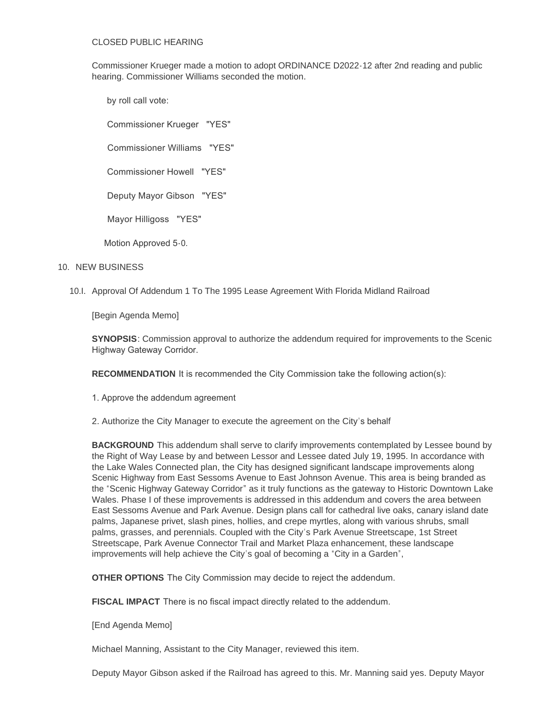#### CLOSED PUBLIC HEARING

Commissioner Krueger made a motion to adopt ORDINANCE D2022-12 after 2nd reading and public hearing. Commissioner Williams seconded the motion.

by roll call vote:

Commissioner Krueger "YES"

Commissioner Williams "YES"

Commissioner Howell "YES"

Deputy Mayor Gibson "YES"

Mayor Hilligoss "YES"

Motion Approved 5-0.

# 10. NEW BUSINESS

10.I. Approval Of Addendum 1 To The 1995 Lease Agreement With Florida Midland Railroad

[Begin Agenda Memo]

**SYNOPSIS**: Commission approval to authorize the addendum required for improvements to the Scenic Highway Gateway Corridor.

**RECOMMENDATION** It is recommended the City Commission take the following action(s):

1. Approve the addendum agreement

2. Authorize the City Manager to execute the agreement on the City's behalf

**BACKGROUND** This addendum shall serve to clarify improvements contemplated by Lessee bound by the Right of Way Lease by and between Lessor and Lessee dated July 19, 1995. In accordance with the Lake Wales Connected plan, the City has designed significant landscape improvements along Scenic Highway from East Sessoms Avenue to East Johnson Avenue. This area is being branded as the "Scenic Highway Gateway Corridor" as it truly functions as the gateway to Historic Downtown Lake Wales. Phase I of these improvements is addressed in this addendum and covers the area between East Sessoms Avenue and Park Avenue. Design plans call for cathedral live oaks, canary island date palms, Japanese privet, slash pines, hollies, and crepe myrtles, along with various shrubs, small palms, grasses, and perennials. Coupled with the City's Park Avenue Streetscape, 1st Street Streetscape, Park Avenue Connector Trail and Market Plaza enhancement, these landscape improvements will help achieve the City's goal of becoming a "City in a Garden",

**OTHER OPTIONS** The City Commission may decide to reject the addendum.

**FISCAL IMPACT** There is no fiscal impact directly related to the addendum.

[End Agenda Memo]

Michael Manning, Assistant to the City Manager, reviewed this item.

Deputy Mayor Gibson asked if the Railroad has agreed to this. Mr. Manning said yes. Deputy Mayor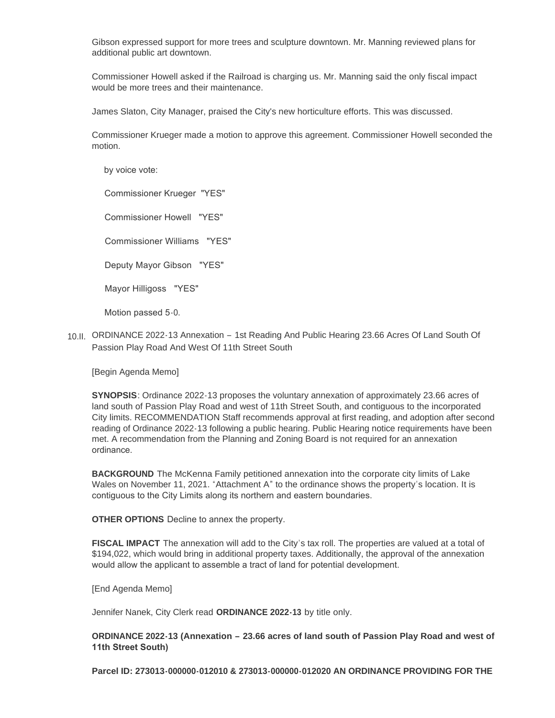Gibson expressed support for more trees and sculpture downtown. Mr. Manning reviewed plans for additional public art downtown.

Commissioner Howell asked if the Railroad is charging us. Mr. Manning said the only fiscal impact would be more trees and their maintenance.

James Slaton, City Manager, praised the City's new horticulture efforts. This was discussed.

Commissioner Krueger made a motion to approve this agreement. Commissioner Howell seconded the motion.

by voice vote:

Commissioner Krueger "YES"

Commissioner Howell "YES"

Commissioner Williams "YES"

Deputy Mayor Gibson "YES"

Mayor Hilligoss "YES"

Motion passed 5-0.

10.II. ORDINANCE 2022-13 Annexation - 1st Reading And Public Hearing 23.66 Acres Of Land South Of Passion Play Road And West Of 11th Street South

[Begin Agenda Memo]

**SYNOPSIS**: Ordinance 2022-13 proposes the voluntary annexation of approximately 23.66 acres of land south of Passion Play Road and west of 11th Street South, and contiguous to the incorporated City limits. RECOMMENDATION Staff recommends approval at first reading, and adoption after second reading of Ordinance 2022-13 following a public hearing. Public Hearing notice requirements have been met. A recommendation from the Planning and Zoning Board is not required for an annexation ordinance.

**BACKGROUND** The McKenna Family petitioned annexation into the corporate city limits of Lake Wales on November 11, 2021. "Attachment A" to the ordinance shows the property's location. It is contiguous to the City Limits along its northern and eastern boundaries.

**OTHER OPTIONS** Decline to annex the property.

**FISCAL IMPACT** The annexation will add to the City's tax roll. The properties are valued at a total of \$194,022, which would bring in additional property taxes. Additionally, the approval of the annexation would allow the applicant to assemble a tract of land for potential development.

[End Agenda Memo]

Jennifer Nanek, City Clerk read **ORDINANCE 2022-13** by title only.

**ORDINANCE 2022-13 (Annexation – 23.66 acres of land south of Passion Play Road and west of 11th Street South)** 

**Parcel ID: 273013-000000-012010 & 273013-000000-012020 AN ORDINANCE PROVIDING FOR THE**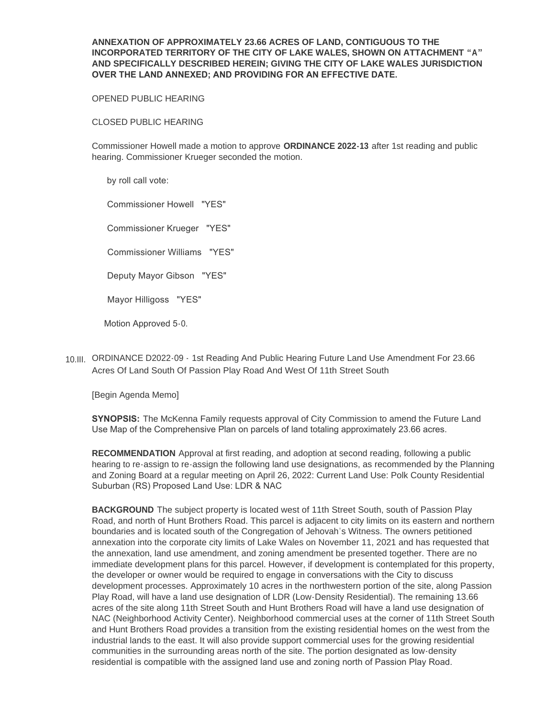# **ANNEXATION OF APPROXIMATELY 23.66 ACRES OF LAND, CONTIGUOUS TO THE INCORPORATED TERRITORY OF THE CITY OF LAKE WALES, SHOWN ON ATTACHMENT "A" AND SPECIFICALLY DESCRIBED HEREIN; GIVING THE CITY OF LAKE WALES JURISDICTION OVER THE LAND ANNEXED; AND PROVIDING FOR AN EFFECTIVE DATE.**

## OPENED PUBLIC HEARING

# CLOSED PUBLIC HEARING

Commissioner Howell made a motion to approve **ORDINANCE 2022-13** after 1st reading and public hearing. Commissioner Krueger seconded the motion.

by roll call vote:

Commissioner Howell "YES"

Commissioner Krueger "YES"

Commissioner Williams "YES"

Deputy Mayor Gibson "YES"

Mayor Hilligoss "YES"

Motion Approved 5-0.

ORDINANCE D2022-09 - 1st Reading And Public Hearing Future Land Use Amendment For 23.66 10.III. Acres Of Land South Of Passion Play Road And West Of 11th Street South

[Begin Agenda Memo]

**SYNOPSIS:** The McKenna Family requests approval of City Commission to amend the Future Land Use Map of the Comprehensive Plan on parcels of land totaling approximately 23.66 acres.

**RECOMMENDATION** Approval at first reading, and adoption at second reading, following a public hearing to re-assign to re-assign the following land use designations, as recommended by the Planning and Zoning Board at a regular meeting on April 26, 2022: Current Land Use: Polk County Residential Suburban (RS) Proposed Land Use: LDR & NAC

**BACKGROUND** The subject property is located west of 11th Street South, south of Passion Play Road, and north of Hunt Brothers Road. This parcel is adjacent to city limits on its eastern and northern boundaries and is located south of the Congregation of Jehovah's Witness. The owners petitioned annexation into the corporate city limits of Lake Wales on November 11, 2021 and has requested that the annexation, land use amendment, and zoning amendment be presented together. There are no immediate development plans for this parcel. However, if development is contemplated for this property, the developer or owner would be required to engage in conversations with the City to discuss development processes. Approximately 10 acres in the northwestern portion of the site, along Passion Play Road, will have a land use designation of LDR (Low-Density Residential). The remaining 13.66 acres of the site along 11th Street South and Hunt Brothers Road will have a land use designation of NAC (Neighborhood Activity Center). Neighborhood commercial uses at the corner of 11th Street South and Hunt Brothers Road provides a transition from the existing residential homes on the west from the industrial lands to the east. It will also provide support commercial uses for the growing residential communities in the surrounding areas north of the site. The portion designated as low-density residential is compatible with the assigned land use and zoning north of Passion Play Road.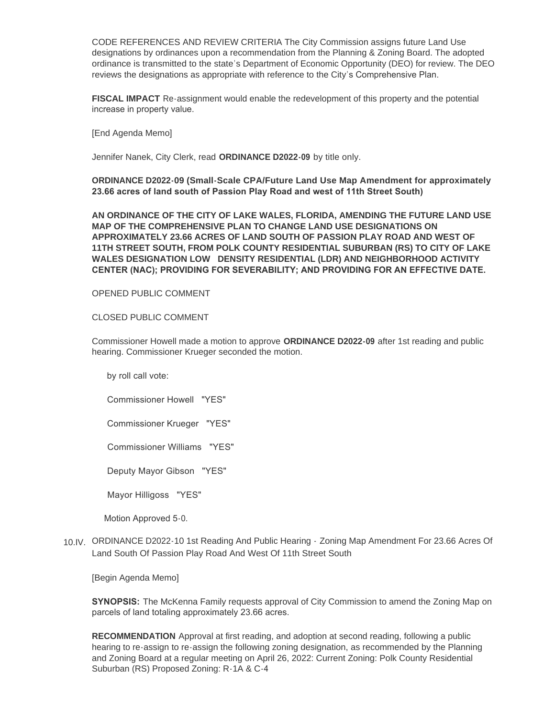CODE REFERENCES AND REVIEW CRITERIA The City Commission assigns future Land Use designations by ordinances upon a recommendation from the Planning & Zoning Board. The adopted ordinance is transmitted to the state's Department of Economic Opportunity (DEO) for review. The DEO reviews the designations as appropriate with reference to the City's Comprehensive Plan.

**FISCAL IMPACT** Re-assignment would enable the redevelopment of this property and the potential increase in property value.

[End Agenda Memo]

Jennifer Nanek, City Clerk, read **ORDINANCE D2022-09** by title only.

**ORDINANCE D2022-09 (Small-Scale CPA/Future Land Use Map Amendment for approximately 23.66 acres of land south of Passion Play Road and west of 11th Street South)** 

**AN ORDINANCE OF THE CITY OF LAKE WALES, FLORIDA, AMENDING THE FUTURE LAND USE MAP OF THE COMPREHENSIVE PLAN TO CHANGE LAND USE DESIGNATIONS ON APPROXIMATELY 23.66 ACRES OF LAND SOUTH OF PASSION PLAY ROAD AND WEST OF 11TH STREET SOUTH, FROM POLK COUNTY RESIDENTIAL SUBURBAN (RS) TO CITY OF LAKE WALES DESIGNATION LOW DENSITY RESIDENTIAL (LDR) AND NEIGHBORHOOD ACTIVITY CENTER (NAC); PROVIDING FOR SEVERABILITY; AND PROVIDING FOR AN EFFECTIVE DATE.** 

OPENED PUBLIC COMMENT

#### CLOSED PUBLIC COMMENT

Commissioner Howell made a motion to approve **ORDINANCE D2022-09** after 1st reading and public hearing. Commissioner Krueger seconded the motion.

by roll call vote:

Commissioner Howell "YES"

Commissioner Krueger "YES"

Commissioner Williams "YES"

Deputy Mayor Gibson "YES"

Mayor Hilligoss "YES"

Motion Approved 5-0.

10.IV. ORDINANCE D2022-10 1st Reading And Public Hearing - Zoning Map Amendment For 23.66 Acres Of Land South Of Passion Play Road And West Of 11th Street South

[Begin Agenda Memo]

**SYNOPSIS:** The McKenna Family requests approval of City Commission to amend the Zoning Map on parcels of land totaling approximately 23.66 acres.

**RECOMMENDATION** Approval at first reading, and adoption at second reading, following a public hearing to re-assign to re-assign the following zoning designation, as recommended by the Planning and Zoning Board at a regular meeting on April 26, 2022: Current Zoning: Polk County Residential Suburban (RS) Proposed Zoning: R-1A & C-4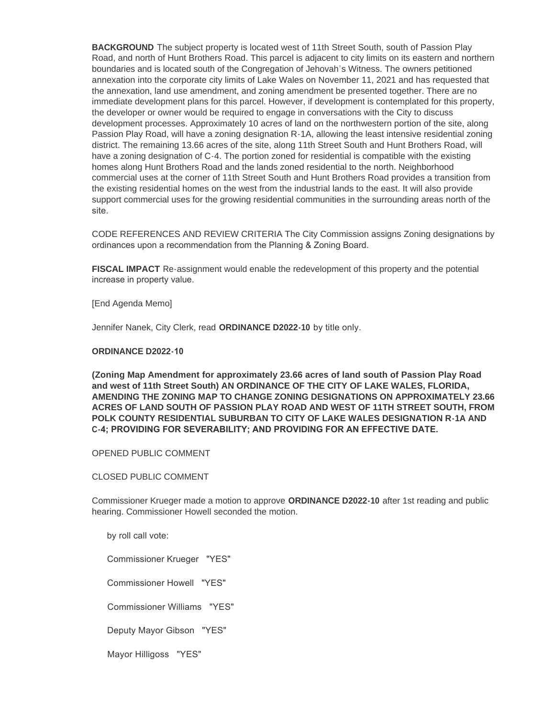**BACKGROUND** The subject property is located west of 11th Street South, south of Passion Play Road, and north of Hunt Brothers Road. This parcel is adjacent to city limits on its eastern and northern boundaries and is located south of the Congregation of Jehovah's Witness. The owners petitioned annexation into the corporate city limits of Lake Wales on November 11, 2021 and has requested that the annexation, land use amendment, and zoning amendment be presented together. There are no immediate development plans for this parcel. However, if development is contemplated for this property, the developer or owner would be required to engage in conversations with the City to discuss development processes. Approximately 10 acres of land on the northwestern portion of the site, along Passion Play Road, will have a zoning designation R-1A, allowing the least intensive residential zoning district. The remaining 13.66 acres of the site, along 11th Street South and Hunt Brothers Road, will have a zoning designation of C-4. The portion zoned for residential is compatible with the existing homes along Hunt Brothers Road and the lands zoned residential to the north. Neighborhood commercial uses at the corner of 11th Street South and Hunt Brothers Road provides a transition from the existing residential homes on the west from the industrial lands to the east. It will also provide support commercial uses for the growing residential communities in the surrounding areas north of the site.

CODE REFERENCES AND REVIEW CRITERIA The City Commission assigns Zoning designations by ordinances upon a recommendation from the Planning & Zoning Board.

**FISCAL IMPACT** Re-assignment would enable the redevelopment of this property and the potential increase in property value.

[End Agenda Memo]

Jennifer Nanek, City Clerk, read **ORDINANCE D2022-10** by title only.

#### **ORDINANCE D2022-10**

**(Zoning Map Amendment for approximately 23.66 acres of land south of Passion Play Road and west of 11th Street South) AN ORDINANCE OF THE CITY OF LAKE WALES, FLORIDA, AMENDING THE ZONING MAP TO CHANGE ZONING DESIGNATIONS ON APPROXIMATELY 23.66 ACRES OF LAND SOUTH OF PASSION PLAY ROAD AND WEST OF 11TH STREET SOUTH, FROM POLK COUNTY RESIDENTIAL SUBURBAN TO CITY OF LAKE WALES DESIGNATION R-1A AND C-4; PROVIDING FOR SEVERABILITY; AND PROVIDING FOR AN EFFECTIVE DATE.** 

## OPENED PUBLIC COMMENT

#### CLOSED PUBLIC COMMENT

Commissioner Krueger made a motion to approve **ORDINANCE D2022-10** after 1st reading and public hearing. Commissioner Howell seconded the motion.

by roll call vote:

Commissioner Krueger "YES"

Commissioner Howell "YES"

Commissioner Williams "YES"

Deputy Mayor Gibson "YES"

Mayor Hilligoss "YES"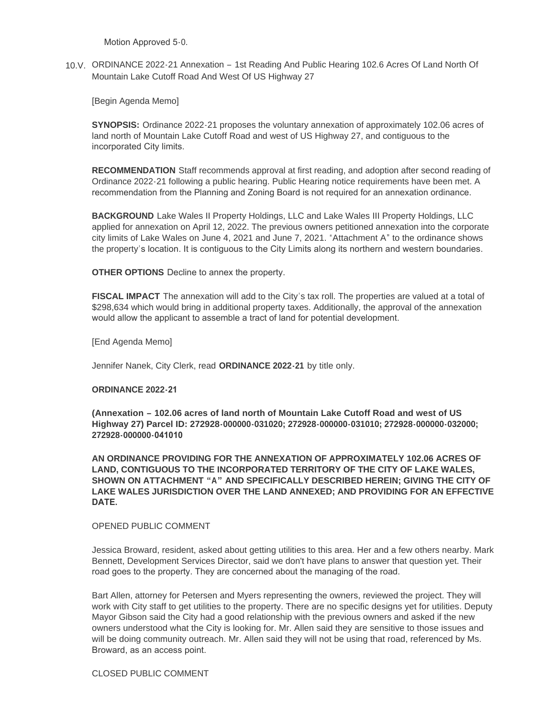Motion Approved 5-0.

10.V. ORDINANCE 2022-21 Annexation - 1st Reading And Public Hearing 102.6 Acres Of Land North Of Mountain Lake Cutoff Road And West Of US Highway 27

[Begin Agenda Memo]

**SYNOPSIS:** Ordinance 2022-21 proposes the voluntary annexation of approximately 102.06 acres of land north of Mountain Lake Cutoff Road and west of US Highway 27, and contiguous to the incorporated City limits.

**RECOMMENDATION** Staff recommends approval at first reading, and adoption after second reading of Ordinance 2022-21 following a public hearing. Public Hearing notice requirements have been met. A recommendation from the Planning and Zoning Board is not required for an annexation ordinance.

**BACKGROUND** Lake Wales II Property Holdings, LLC and Lake Wales III Property Holdings, LLC applied for annexation on April 12, 2022. The previous owners petitioned annexation into the corporate city limits of Lake Wales on June 4, 2021 and June 7, 2021. "Attachment A" to the ordinance shows the property's location. It is contiguous to the City Limits along its northern and western boundaries.

**OTHER OPTIONS** Decline to annex the property.

**FISCAL IMPACT** The annexation will add to the City's tax roll. The properties are valued at a total of \$298,634 which would bring in additional property taxes. Additionally, the approval of the annexation would allow the applicant to assemble a tract of land for potential development.

[End Agenda Memo]

Jennifer Nanek, City Clerk, read **ORDINANCE 2022-21** by title only.

#### **ORDINANCE 2022-21**

**(Annexation – 102.06 acres of land north of Mountain Lake Cutoff Road and west of US Highway 27) Parcel ID: 272928-000000-031020; 272928-000000-031010; 272928-000000-032000; 272928-000000-041010** 

**AN ORDINANCE PROVIDING FOR THE ANNEXATION OF APPROXIMATELY 102.06 ACRES OF LAND, CONTIGUOUS TO THE INCORPORATED TERRITORY OF THE CITY OF LAKE WALES, SHOWN ON ATTACHMENT "A" AND SPECIFICALLY DESCRIBED HEREIN; GIVING THE CITY OF LAKE WALES JURISDICTION OVER THE LAND ANNEXED; AND PROVIDING FOR AN EFFECTIVE DATE.** 

#### OPENED PUBLIC COMMENT

Jessica Broward, resident, asked about getting utilities to this area. Her and a few others nearby. Mark Bennett, Development Services Director, said we don't have plans to answer that question yet. Their road goes to the property. They are concerned about the managing of the road.

Bart Allen, attorney for Petersen and Myers representing the owners, reviewed the project. They will work with City staff to get utilities to the property. There are no specific designs yet for utilities. Deputy Mayor Gibson said the City had a good relationship with the previous owners and asked if the new owners understood what the City is looking for. Mr. Allen said they are sensitive to those issues and will be doing community outreach. Mr. Allen said they will not be using that road, referenced by Ms. Broward, as an access point.

#### CLOSED PUBLIC COMMENT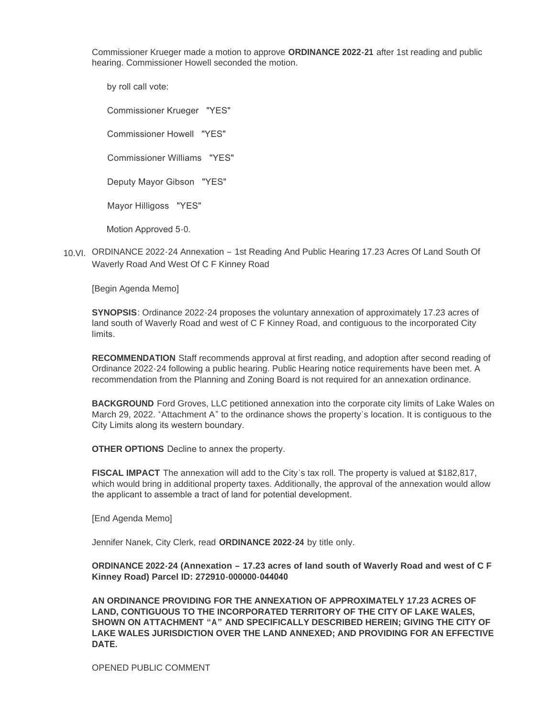Commissioner Krueger made a motion to approve **ORDINANCE 2022-21** after 1st reading and public hearing. Commissioner Howell seconded the motion.

 by roll call vote: Commissioner Krueger "YES" Commissioner Howell "YES" Commissioner Williams "YES" Deputy Mayor Gibson "YES" Mayor Hilligoss "YES" Motion Approved 5-0.

10.VI. ORDINANCE 2022-24 Annexation - 1st Reading And Public Hearing 17.23 Acres Of Land South Of Waverly Road And West Of C F Kinney Road

[Begin Agenda Memo]

**SYNOPSIS**: Ordinance 2022-24 proposes the voluntary annexation of approximately 17.23 acres of land south of Waverly Road and west of C F Kinney Road, and contiguous to the incorporated City limits.

**RECOMMENDATION** Staff recommends approval at first reading, and adoption after second reading of Ordinance 2022-24 following a public hearing. Public Hearing notice requirements have been met. A recommendation from the Planning and Zoning Board is not required for an annexation ordinance.

**BACKGROUND** Ford Groves, LLC petitioned annexation into the corporate city limits of Lake Wales on March 29, 2022. "Attachment A" to the ordinance shows the property's location. It is contiguous to the City Limits along its western boundary.

**OTHER OPTIONS** Decline to annex the property.

**FISCAL IMPACT** The annexation will add to the City's tax roll. The property is valued at \$182,817, which would bring in additional property taxes. Additionally, the approval of the annexation would allow the applicant to assemble a tract of land for potential development.

[End Agenda Memo]

Jennifer Nanek, City Clerk, read **ORDINANCE 2022-24** by title only.

**ORDINANCE 2022-24 (Annexation – 17.23 acres of land south of Waverly Road and west of C F Kinney Road) Parcel ID: 272910-000000-044040** 

**AN ORDINANCE PROVIDING FOR THE ANNEXATION OF APPROXIMATELY 17.23 ACRES OF LAND, CONTIGUOUS TO THE INCORPORATED TERRITORY OF THE CITY OF LAKE WALES, SHOWN ON ATTACHMENT "A" AND SPECIFICALLY DESCRIBED HEREIN; GIVING THE CITY OF LAKE WALES JURISDICTION OVER THE LAND ANNEXED; AND PROVIDING FOR AN EFFECTIVE DATE.** 

OPENED PUBLIC COMMENT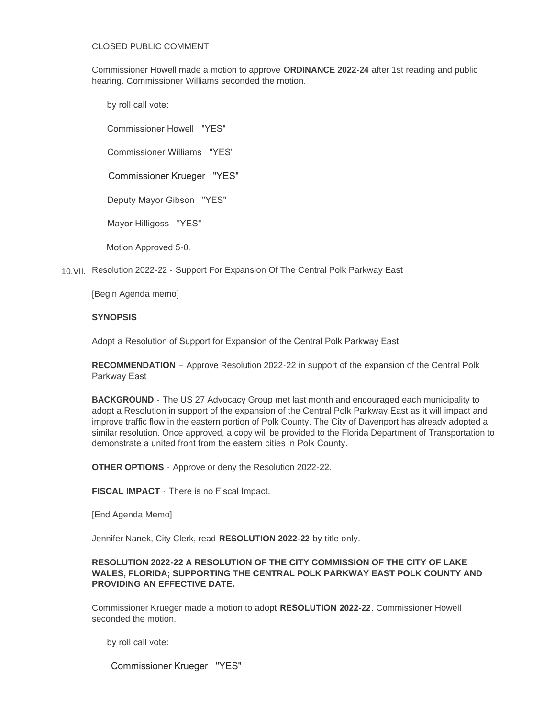#### CLOSED PUBLIC COMMENT

Commissioner Howell made a motion to approve **ORDINANCE 2022-24** after 1st reading and public hearing. Commissioner Williams seconded the motion.

by roll call vote:

Commissioner Howell "YES"

Commissioner Williams "YES"

Commissioner Krueger "YES"

Deputy Mayor Gibson "YES"

Mayor Hilligoss "YES"

Motion Approved 5-0.

10. VII. Resolution 2022 - 22 - Support For Expansion Of The Central Polk Parkway East

[Begin Agenda memo]

## **SYNOPSIS**

Adopt a Resolution of Support for Expansion of the Central Polk Parkway East

**RECOMMENDATION** – Approve Resolution 2022-22 in support of the expansion of the Central Polk Parkway East

**BACKGROUND** - The US 27 Advocacy Group met last month and encouraged each municipality to adopt a Resolution in support of the expansion of the Central Polk Parkway East as it will impact and improve traffic flow in the eastern portion of Polk County. The City of Davenport has already adopted a similar resolution. Once approved, a copy will be provided to the Florida Department of Transportation to demonstrate a united front from the eastern cities in Polk County.

**OTHER OPTIONS** - Approve or deny the Resolution 2022-22.

**FISCAL IMPACT** - There is no Fiscal Impact.

[End Agenda Memo]

Jennifer Nanek, City Clerk, read **RESOLUTION 2022-22** by title only.

# **RESOLUTION 2022-22 A RESOLUTION OF THE CITY COMMISSION OF THE CITY OF LAKE WALES, FLORIDA; SUPPORTING THE CENTRAL POLK PARKWAY EAST POLK COUNTY AND PROVIDING AN EFFECTIVE DATE.**

Commissioner Krueger made a motion to adopt **RESOLUTION 2022-22**. Commissioner Howell seconded the motion.

by roll call vote:

Commissioner Krueger "YES"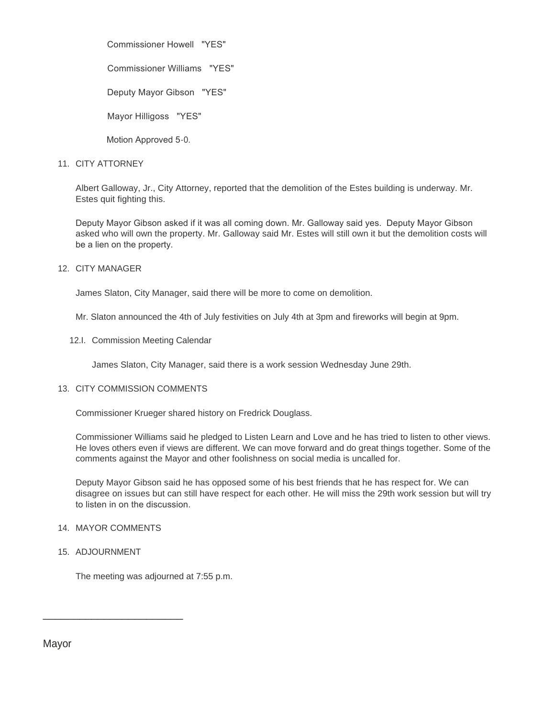Commissioner Howell "YES"

Commissioner Williams "YES"

Deputy Mayor Gibson "YES"

Mayor Hilligoss "YES"

Motion Approved 5-0.

# 11. CITY ATTORNEY

Albert Galloway, Jr., City Attorney, reported that the demolition of the Estes building is underway. Mr. Estes quit fighting this.

Deputy Mayor Gibson asked if it was all coming down. Mr. Galloway said yes. Deputy Mayor Gibson asked who will own the property. Mr. Galloway said Mr. Estes will still own it but the demolition costs will be a lien on the property.

# 12. CITY MANAGER

James Slaton, City Manager, said there will be more to come on demolition.

Mr. Slaton announced the 4th of July festivities on July 4th at 3pm and fireworks will begin at 9pm.

12.I. Commission Meeting Calendar

James Slaton, City Manager, said there is a work session Wednesday June 29th.

# 13. CITY COMMISSION COMMENTS

Commissioner Krueger shared history on Fredrick Douglass.

Commissioner Williams said he pledged to Listen Learn and Love and he has tried to listen to other views. He loves others even if views are different. We can move forward and do great things together. Some of the comments against the Mayor and other foolishness on social media is uncalled for.

Deputy Mayor Gibson said he has opposed some of his best friends that he has respect for. We can disagree on issues but can still have respect for each other. He will miss the 29th work session but will try to listen in on the discussion.

## 14. MAYOR COMMENTS

\_\_\_\_\_\_\_\_\_\_\_\_\_\_\_\_\_\_\_\_\_\_\_

15. ADJOURNMENT

The meeting was adjourned at 7:55 p.m.

Mayor